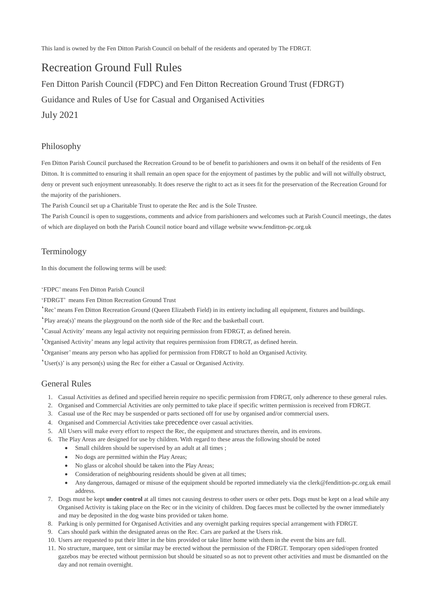This land is owned by the Fen Ditton Parish Council on behalf of the residents and operated by The FDRGT.

# Recreation Ground Full Rules

Fen Ditton Parish Council (FDPC) and Fen Ditton Recreation Ground Trust (FDRGT)

Guidance and Rules of Use for Casual and Organised Activities

July 2021

#### Philosophy

Fen Ditton Parish Council purchased the Recreation Ground to be of benefit to parishioners and owns it on behalf of the residents of Fen Ditton. It is committed to ensuring it shall remain an open space for the enjoyment of pastimes by the public and will not wilfully obstruct, deny or prevent such enjoyment unreasonably. It does reserve the right to act as it sees fit for the preservation of the Recreation Ground for the majority of the parishioners.

The Parish Council set up a Charitable Trust to operate the Rec and is the Sole Trustee.

The Parish Council is open to suggestions, comments and advice from parishioners and welcomes such at Parish Council meetings, the dates of which are displayed on both the Parish Council notice board and village website www.fenditton-pc.org.uk

#### Terminology

In this document the following terms will be used:

'FDPC' means Fen Ditton Parish Council

'FDRGT' means Fen Ditton Recreation Ground Trust

'Rec' means Fen Ditton Recreation Ground (Queen Elizabeth Field) in its entirety including all equipment, fixtures and buildings.

'Play area(s)' means the playground on the north side of the Rec and the basketball court.

'Casual Activity' means any legal activity not requiring permission from FDRGT, as defined herein.

'Organised Activity' means any legal activity that requires permission from FDRGT, as defined herein.

'Organiser' means any person who has applied for permission from FDRGT to hold an Organised Activity.

'User(s)' is any person(s) using the Rec for either a Casual or Organised Activity.

#### General Rules

- 1. Casual Activities as defined and specified herein require no specific permission from FDRGT, only adherence to these general rules.
- 2. Organised and Commercial Activities are only permitted to take place if specific written permission is received from FDRGT.
- 3. Casual use of the Rec may be suspended or parts sectioned off for use by organised and/or commercial users.
- 4. Organised and Commercial Activities take precedence over casual activities.
- 5. All Users will make every effort to respect the Rec, the equipment and structures therein, and its environs.
- 6. The Play Areas are designed for use by children. With regard to these areas the following should be noted
	- Small children should be supervised by an adult at all times;
	- No dogs are permitted within the Play Areas:
	- No glass or alcohol should be taken into the Play Areas;
	- Consideration of neighbouring residents should be given at all times;
	- Any dangerous, damaged or misuse of the equipment should be reported immediately via the clerk@fendittion-pc.org.uk email address.
- 7. Dogs must be kept **under control** at all times not causing destress to other users or other pets. Dogs must be kept on a lead while any Organised Activity is taking place on the Rec or in the vicinity of children. Dog faeces must be collected by the owner immediately and may be deposited in the dog waste bins provided or taken home.
- 8. Parking is only permitted for Organised Activities and any overnight parking requires special arrangement with FDRGT.
- 9. Cars should park within the designated areas on the Rec. Cars are parked at the Users risk.
- 10. Users are requested to put their litter in the bins provided or take litter home with them in the event the bins are full.
- 11. No structure, marquee, tent or similar may be erected without the permission of the FDRGT. Temporary open sided/open fronted gazebos may be erected without permission but should be situated so as not to prevent other activities and must be dismantled on the day and not remain overnight.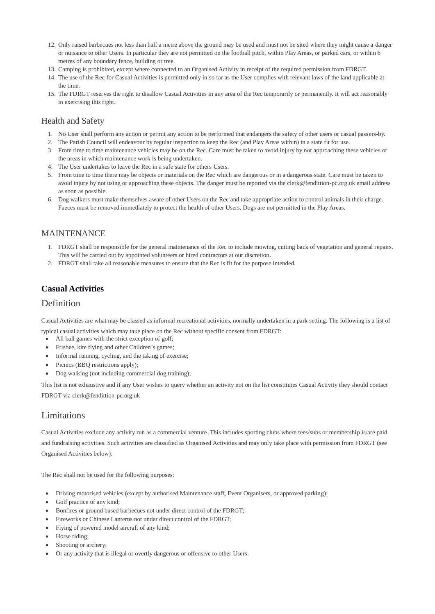- 12. Only raised barbecues not less than half a metre above the ground may be used and must not be sited where they might cause a danger or nuisance to other Users. In particular they are not permitted on the football pitch, within Play Areas, or parked cars, or within 6 metres of any boundary fence, building or tree.
- 13. Camping is prohibited, except where connected to an Organised Activity in receipt of the required permission from FDRGT.
- 14. The use of the Rec for Casual Activities is permitted only in so far as the User complies with relevant laws of the land applicable at the time.
- 15. The FDRGT reserves the right to disallow Casual Activities in any area of the Rec temporarily or permanently. It will act reasonably in exercising this right.

### Health and Safety

- 1. No User shall perform any action or permit any action to be performed that endangers the safety of other users or casual passers-by.
- 2. The Parish Council will endeavour by regular inspection to keep the Rec (and Play Areas within) in a state fit for use.
- 3. From time to time maintenance vehicles may be on the Rec. Care must be taken to avoid injury by not approaching these vehicles or the areas in which maintenance work is being undertaken.
- 4. The User undertakes to leave the Rec in a safe state for others Users.
- 5. From time to time there may be objects or materials on the Rec which are dangerous or in a dangerous state. Care must be taken to avoid injury by not using or approaching these objects. The danger must be reported via the clerk@fendittion-pc.org.uk email address as soon as possible.
- 6. Dog walkers must make themselves aware of other Users on the Rec and take appropriate action to control animals in their charge. Faeces must be removed immediately to protect the health of other Users. Dogs are not permitted in the Play Areas.

#### MAINTENANCE

- 1. FDRGT shall be responsible for the general maintenance of the Rec to include mowing, cutting back of vegetation and general repairs. This will be carried out by appointed volunteers or hired contractors at our discretion.
- 2. FDRGT shall take all reasonable measures to ensure that the Rec is fit for the purpose intended.

### **Casual Activities**

#### Definition

Casual Activities are what may be classed as informal recreational activities, normally undertaken in a park setting. The following is a list of

- typical casual activities which may take place on the Rec without specific consent from FDRGT:
- All ball games with the strict exception of golf;
- Frisbee, kite flying and other Children's games;
- Informal running, cycling, and the taking of exercise;
- Picnics (BBQ restrictions apply);
- Dog walking (not including commercial dog training);

This list is not exhaustive and if any User wishes to query whether an activity not on the list constitutes Casual Activity they should contact FDRGT via clerk@fendittion-pc.org.uk

### **Limitations**

Casual Activities exclude any activity run as a commercial venture. This includes sporting clubs where fees/subs or membership is/are paid and fundraising activities. Such activities are classified as Organised Activities and may only take place with permission from FDRGT (see Organised Activities below).

The Rec shall not be used for the following purposes:

- Driving motorised vehicles (except by authorised Maintenance staff, Event Organisers, or approved parking);
- Golf practice of any kind;
- Bonfires or ground based barbecues not under direct control of the FDRGT;
- Fireworks or Chinese Lanterns not under direct control of the FDRGT;
- Flying of powered model aircraft of any kind;
- Horse riding;
- Shooting or archery;
- Or any activity that is illegal or overtly dangerous or offensive to other Users.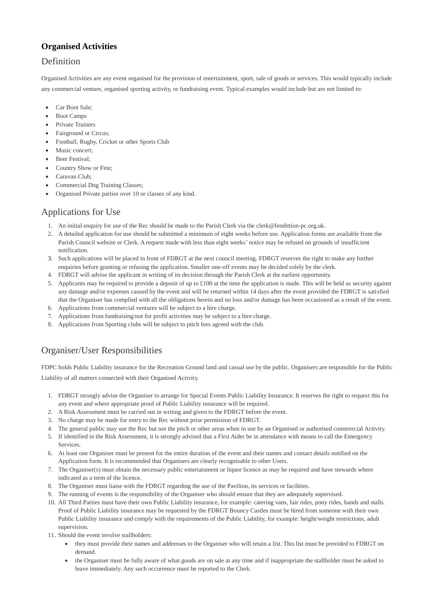### **Organised Activities**

### Definition

Organised Activities are any event organised for the provision of entertainment, sport, sale of goods or services. This would typically include any commercial venture, organised sporting activity, or fundraising event. Typical examples would include but are not limited to:

- Car Boot Sale;
- Boot Camps
- Private Trainers
- Fairground or Circus:
- Football, Rugby, Cricket or other Sports Club
- Music concert:
- Beer Festival;
- Country Show or Fete;
- Caravan Club;
- Commercial Dog Training Classes;
- Organised Private parties over 10 or classes of any kind.

### Applications for Use

- 1. An initial enquiry for use of the Rec should be made to the Parish Clerk via the clerk@fendittion-pc.org.uk.
- 2. A detailed application for use should be submitted a minimum of eight weeks before use. Application forms are available from the Parish Council website or Clerk. A request made with less than eight weeks' notice may be refused on grounds of insufficient notification.
- 3. Such applications will be placed in front of FDRGT at the next council meeting. FDRGT reserves the right to make any further enquiries before granting or refusing the application. Smaller one-off events may be decided solely by the clerk.
- 4. FDRGT will advise the applicant in writing of its decision through the Parish Clerk at the earliest opportunity.
- 5. Applicants may be required to provide a deposit of up to  $\pounds 100$  at the time the application is made. This will be held as security against any damage and/or expenses caused by the event and will be returned within 14 days after the event provided the FDRGT is satisfied that the Organiser has complied with all the obligations herein and no loss and/or damage has been occasioned as a result of the event.
- 6. Applications from commercial ventures will be subject to a hire charge.
- 7. Applications from fundraising/not for profit activities may be subject to a hire charge.
- 8. Applications from Sporting clubs will be subject to pitch fees agreed with the club.

## Organiser/User Responsibilities

FDPC holds Public Liability insurance for the Recreation Ground land and casual use by the public. Organisers are responsible for the Public Liability of all matters connected with their Organised Activity.

- 1. FDRGT strongly advise the Organiser to arrange for Special Events Public Liability Insurance. It reserves the right to request this for any event and where appropriate proof of Public Liability insurance will be required.
- 2. A Risk Assessment must be carried out in writing and given to the FDRGT before the event.
- 3. No charge may be made for entry to the Rec without prior permission of FDRGT.
- 4. The general public may use the Rec but not the pitch or other areas when in use by an Organised or authorised commercial Activity.
- 5. If identified in the Risk Assessment, it is strongly advised that a First Aider be in attendance with means to call the Emergency Services.
- 6. At least one Organiser must be present for the entire duration of the event and their names and contact details notified on the Application form. It is recommended that Organisers are clearly recognisable to other Users.
- 7. The Organiser(s) must obtain the necessary public entertainment or liquor licence as may be required and have stewards where indicated as a term of the licence.
- 8. The Organiser must liaise with the FDRGT regarding the use of the Pavilion, its services or facilities.
- 9. The running of events is the responsibility of the Organiser who should ensure that they are adequately supervised.
- 10. All Third Parties must have their own Public Liability insurance, for example: catering vans, fair rides, pony rides, bands and stalls. Proof of Public Liability insurance may be requested by the FDRGT Bouncy Castles must be hired from someone with their own Public Liability insurance and comply with the requirements of the Public Liability, for example: height/weight restrictions, adult supervision.
- 11. Should the event involve stallholders:
	- they must provide their names and addresses to the Organiser who will retain a list. This list must be provided to FDRGT on demand.
	- the Organiser must be fully aware of what goods are on sale at any time and if inappropriate the stallholder must be asked to leave immediately. Any such occurrence must be reported to the Clerk.